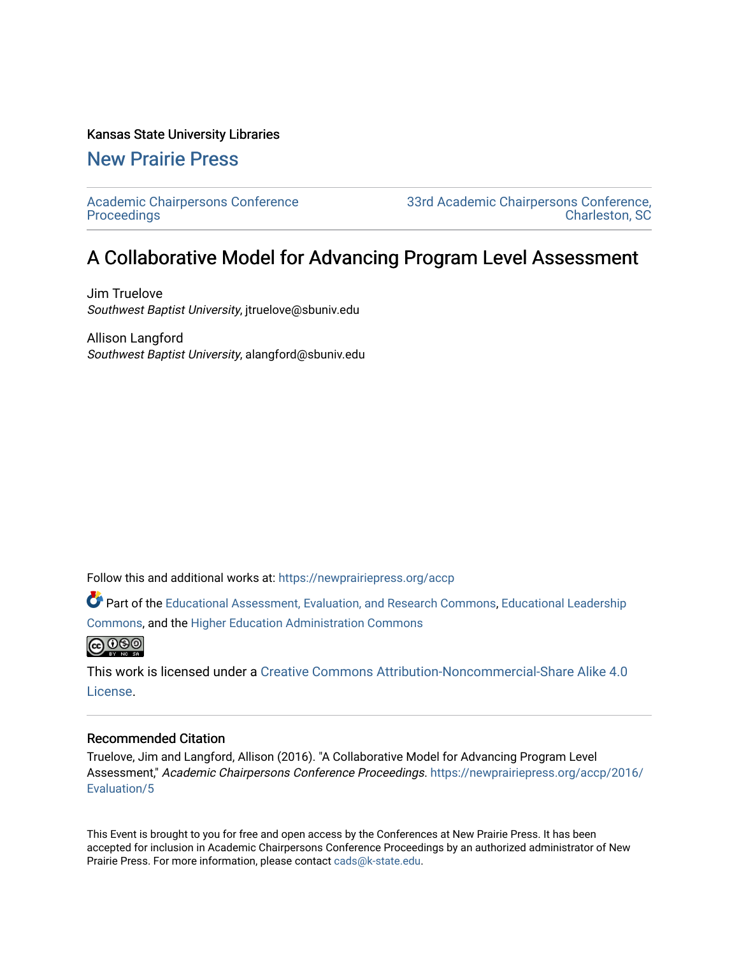### Kansas State University Libraries

## [New Prairie Press](https://newprairiepress.org/)

[Academic Chairpersons Conference](https://newprairiepress.org/accp)  **Proceedings** 

[33rd Academic Chairpersons Conference,](https://newprairiepress.org/accp/2016)  [Charleston, SC](https://newprairiepress.org/accp/2016) 

# A Collaborative Model for Advancing Program Level Assessment

Jim Truelove Southwest Baptist University, jtruelove@sbuniv.edu

Allison Langford Southwest Baptist University, alangford@sbuniv.edu

Follow this and additional works at: [https://newprairiepress.org/accp](https://newprairiepress.org/accp?utm_source=newprairiepress.org%2Faccp%2F2016%2FEvaluation%2F5&utm_medium=PDF&utm_campaign=PDFCoverPages) 

Part of the [Educational Assessment, Evaluation, and Research Commons](http://network.bepress.com/hgg/discipline/796?utm_source=newprairiepress.org%2Faccp%2F2016%2FEvaluation%2F5&utm_medium=PDF&utm_campaign=PDFCoverPages), [Educational Leadership](http://network.bepress.com/hgg/discipline/1230?utm_source=newprairiepress.org%2Faccp%2F2016%2FEvaluation%2F5&utm_medium=PDF&utm_campaign=PDFCoverPages) [Commons](http://network.bepress.com/hgg/discipline/1230?utm_source=newprairiepress.org%2Faccp%2F2016%2FEvaluation%2F5&utm_medium=PDF&utm_campaign=PDFCoverPages), and the [Higher Education Administration Commons](http://network.bepress.com/hgg/discipline/791?utm_source=newprairiepress.org%2Faccp%2F2016%2FEvaluation%2F5&utm_medium=PDF&utm_campaign=PDFCoverPages) 



This work is licensed under a [Creative Commons Attribution-Noncommercial-Share Alike 4.0](https://creativecommons.org/licenses/by-nc-sa/4.0/) [License.](https://creativecommons.org/licenses/by-nc-sa/4.0/)

### Recommended Citation

Truelove, Jim and Langford, Allison (2016). "A Collaborative Model for Advancing Program Level Assessment," Academic Chairpersons Conference Proceedings. [https://newprairiepress.org/accp/2016/](https://newprairiepress.org/accp/2016/Evaluation/5) [Evaluation/5](https://newprairiepress.org/accp/2016/Evaluation/5) 

This Event is brought to you for free and open access by the Conferences at New Prairie Press. It has been accepted for inclusion in Academic Chairpersons Conference Proceedings by an authorized administrator of New Prairie Press. For more information, please contact [cads@k-state.edu.](mailto:cads@k-state.edu)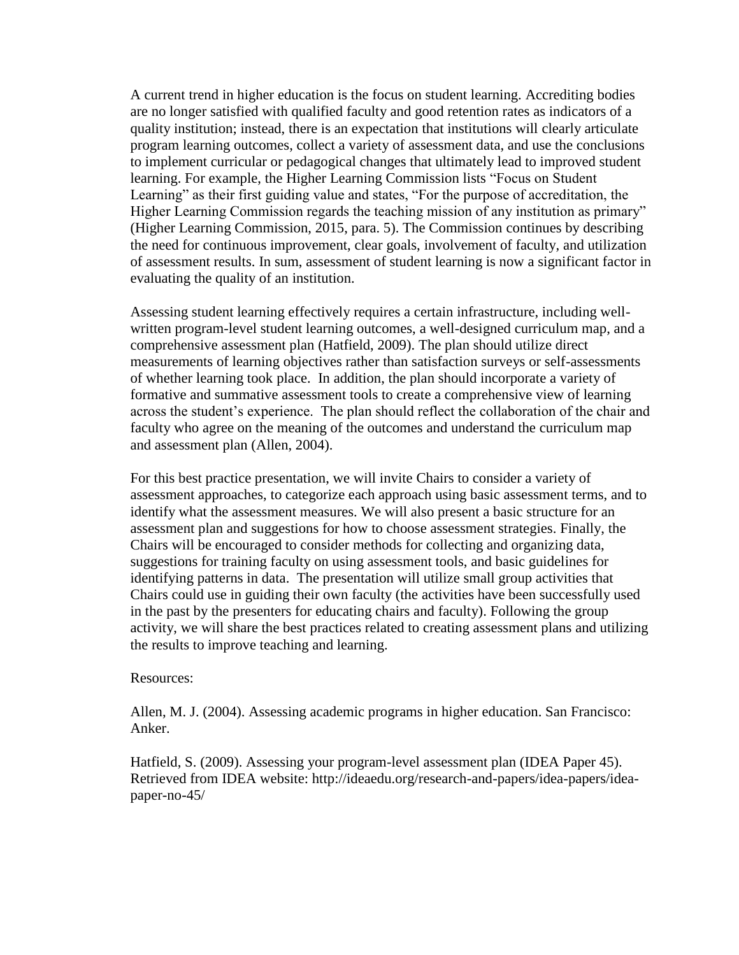A current trend in higher education is the focus on student learning. Accrediting bodies are no longer satisfied with qualified faculty and good retention rates as indicators of a quality institution; instead, there is an expectation that institutions will clearly articulate program learning outcomes, collect a variety of assessment data, and use the conclusions to implement curricular or pedagogical changes that ultimately lead to improved student learning. For example, the Higher Learning Commission lists "Focus on Student Learning" as their first guiding value and states, "For the purpose of accreditation, the Higher Learning Commission regards the teaching mission of any institution as primary" (Higher Learning Commission, 2015, para. 5). The Commission continues by describing the need for continuous improvement, clear goals, involvement of faculty, and utilization of assessment results. In sum, assessment of student learning is now a significant factor in evaluating the quality of an institution.

Assessing student learning effectively requires a certain infrastructure, including wellwritten program-level student learning outcomes, a well-designed curriculum map, and a comprehensive assessment plan (Hatfield, 2009). The plan should utilize direct measurements of learning objectives rather than satisfaction surveys or self-assessments of whether learning took place. In addition, the plan should incorporate a variety of formative and summative assessment tools to create a comprehensive view of learning across the student's experience. The plan should reflect the collaboration of the chair and faculty who agree on the meaning of the outcomes and understand the curriculum map and assessment plan (Allen, 2004).

For this best practice presentation, we will invite Chairs to consider a variety of assessment approaches, to categorize each approach using basic assessment terms, and to identify what the assessment measures. We will also present a basic structure for an assessment plan and suggestions for how to choose assessment strategies. Finally, the Chairs will be encouraged to consider methods for collecting and organizing data, suggestions for training faculty on using assessment tools, and basic guidelines for identifying patterns in data. The presentation will utilize small group activities that Chairs could use in guiding their own faculty (the activities have been successfully used in the past by the presenters for educating chairs and faculty). Following the group activity, we will share the best practices related to creating assessment plans and utilizing the results to improve teaching and learning.

#### Resources:

Allen, M. J. (2004). Assessing academic programs in higher education. San Francisco: Anker.

Hatfield, S. (2009). Assessing your program-level assessment plan (IDEA Paper 45). Retrieved from IDEA website: http://ideaedu.org/research-and-papers/idea-papers/ideapaper-no-45/